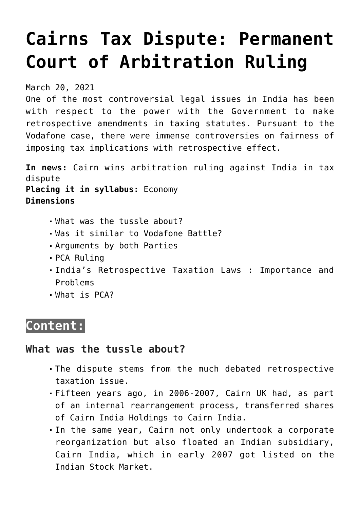# **[Cairns Tax Dispute: Permanent](https://journalsofindia.com/cairns-tax-dispute-permanent-court-of-arbitration-ruling/) [Court of Arbitration Ruling](https://journalsofindia.com/cairns-tax-dispute-permanent-court-of-arbitration-ruling/)**

March 20, 2021

One of the most controversial legal issues in India has been with respect to the power with the Government to make retrospective amendments in taxing statutes. Pursuant to the Vodafone case, there were immense controversies on fairness of imposing tax implications with retrospective effect.

**In news:** Cairn wins arbitration ruling against India in tax dispute

**Placing it in syllabus:** Economy **Dimensions**

- What was the tussle about?
- Was it similar to Vodafone Battle?
- Arguments by both Parties
- PCA Ruling
- India's Retrospective Taxation Laws : Importance and Problems
- What is PCA?

## **Content:**

## **What was the tussle about?**

- The dispute stems from the much debated retrospective taxation issue.
- Fifteen years ago, in 2006-2007, Cairn UK had, as part of an internal rearrangement process, transferred shares of Cairn India Holdings to Cairn India.
- In the same year, Cairn not only undertook a corporate reorganization but also floated an Indian subsidiary, Cairn India, which in early 2007 got listed on the Indian Stock Market.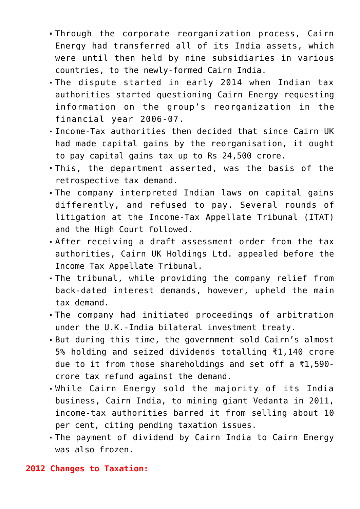- Through the corporate reorganization process, Cairn Energy had transferred all of its India assets, which were until then held by nine subsidiaries in various countries, to the newly-formed Cairn India.
- The dispute started in early 2014 when Indian tax authorities started questioning Cairn Energy requesting information on the group's reorganization in the financial year 2006-07.
- Income-Tax authorities then decided that since Cairn UK had made capital gains by the reorganisation, it ought to pay capital gains tax up to Rs 24,500 crore.
- This, the department asserted, was the basis of the retrospective tax demand.
- The company interpreted Indian laws on capital gains differently, and refused to pay. Several rounds of litigation at the Income-Tax Appellate Tribunal (ITAT) and the High Court followed.
- After receiving a draft assessment order from the tax authorities, Cairn UK Holdings Ltd. appealed before the Income Tax Appellate Tribunal.
- The tribunal, while providing the company relief from back-dated interest demands, however, upheld the main tax demand.
- The company had initiated proceedings of arbitration under the U.K.-India bilateral investment treaty.
- But during this time, the government sold Cairn's almost 5% holding and seized dividends totalling ₹1,140 crore due to it from those shareholdings and set off a ₹1,590 crore tax refund against the demand.
- While Cairn Energy sold the majority of its India business, Cairn India, to mining giant Vedanta in 2011, income-tax authorities barred it from selling about 10 per cent, citing pending taxation issues.
- The payment of dividend by Cairn India to Cairn Energy was also frozen.

#### **2012 Changes to Taxation:**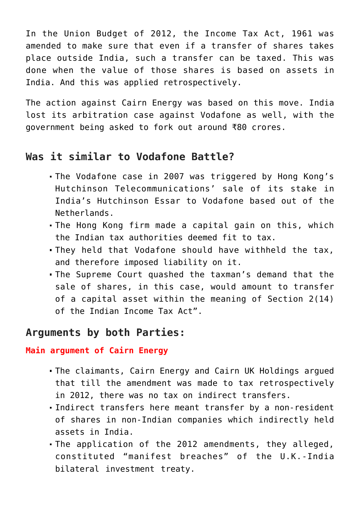In the Union Budget of 2012, the Income Tax Act, 1961 was amended to make sure that even if a transfer of shares takes place outside India, such a transfer can be taxed. This was done when the value of those shares is based on assets in India. And this was applied retrospectively.

The action against Cairn Energy was based on this move. India lost its arbitration case against Vodafone as well, with the government being asked to fork out around ₹80 crores.

## **Was it similar to Vodafone Battle?**

- The Vodafone case in 2007 was triggered by Hong Kong's Hutchinson Telecommunications' sale of its stake in India's Hutchinson Essar to Vodafone based out of the Netherlands.
- The Hong Kong firm made a capital gain on this, which the Indian tax authorities deemed fit to tax.
- They held that Vodafone should have withheld the tax, and therefore imposed liability on it.
- The Supreme Court quashed the taxman's demand that the sale of shares, in this case, would amount to transfer of a capital asset within the meaning of Section 2(14) of the Indian Income Tax Act".

## **Arguments by both Parties:**

#### **Main argument of Cairn Energy**

- The claimants, Cairn Energy and Cairn UK Holdings argued that till the amendment was made to tax retrospectively in 2012, there was no tax on indirect transfers.
- Indirect transfers here meant transfer by a non-resident of shares in non-Indian companies which indirectly held assets in India.
- The application of the 2012 amendments, they alleged, constituted "manifest breaches" of the U.K.-India bilateral investment treaty.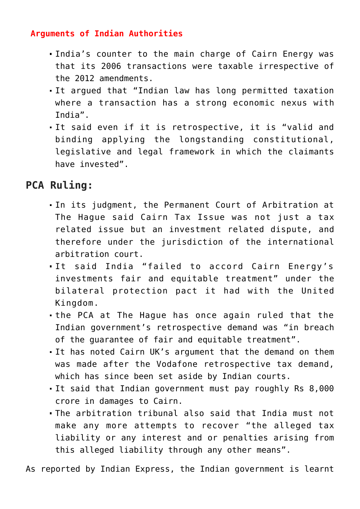#### **Arguments of Indian Authorities**

- India's counter to the main charge of Cairn Energy was that its 2006 transactions were taxable irrespective of the 2012 amendments.
- It argued that "Indian law has long permitted taxation where a transaction has a strong economic nexus with India".
- It said even if it is retrospective, it is "valid and binding applying the longstanding constitutional, legislative and legal framework in which the claimants have invested".

## **PCA Ruling:**

- In its judgment, the Permanent Court of Arbitration at The Hague said Cairn Tax Issue was not just a tax related issue but an investment related dispute, and therefore under the jurisdiction of the international arbitration court.
- It said India "failed to accord Cairn Energy's investments fair and equitable treatment" under the bilateral protection pact it had with the United Kingdom.
- the PCA at The Hague has once again ruled that the Indian government's retrospective demand was "in breach of the guarantee of fair and equitable treatment".
- It has noted Cairn UK's argument that the demand on them was made after the Vodafone retrospective tax demand, which has since been set aside by Indian courts.
- It said that Indian government must pay roughly Rs 8,000 crore in damages to Cairn.
- The arbitration tribunal also said that India must not make any more attempts to recover "the alleged tax liability or any interest and or penalties arising from this alleged liability through any other means".

As reported by Indian Express, the Indian government is learnt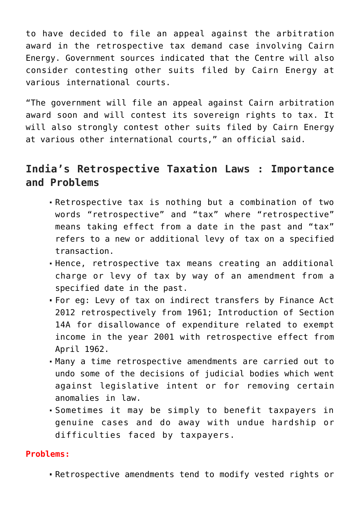to have decided to file an appeal against the arbitration award in the retrospective tax demand case involving Cairn Energy. Government sources indicated that the Centre will also consider contesting other suits filed by Cairn Energy at various international courts.

"The government will file an appeal against Cairn arbitration award soon and will contest its sovereign rights to tax. It will also strongly contest other suits filed by Cairn Energy at various other international courts," an official said.

## **India's Retrospective Taxation Laws : Importance and Problems**

- Retrospective tax is nothing but a combination of two words "retrospective" and "tax" where "retrospective" means taking effect from a date in the past and "tax" refers to a new or additional levy of tax on a specified transaction.
- Hence, retrospective tax means creating an additional charge or levy of tax by way of an amendment from a specified date in the past.
- For eg: Levy of tax on indirect transfers by Finance Act 2012 retrospectively from 1961; Introduction of Section 14A for disallowance of expenditure related to exempt income in the year 2001 with retrospective effect from April 1962.
- Many a time retrospective amendments are carried out to undo some of the decisions of judicial bodies which went against legislative intent or for removing certain anomalies in law.
- Sometimes it may be simply to benefit taxpayers in genuine cases and do away with undue hardship or difficulties faced by taxpayers.

#### **Problems:**

Retrospective amendments tend to modify vested rights or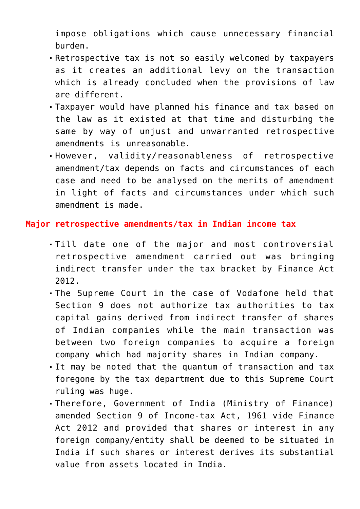impose obligations which cause unnecessary financial burden.

- Retrospective tax is not so easily welcomed by taxpayers as it creates an additional levy on the transaction which is already concluded when the provisions of law are different.
- Taxpayer would have planned his finance and tax based on the law as it existed at that time and disturbing the same by way of unjust and unwarranted retrospective amendments is unreasonable.
- However, validity/reasonableness of retrospective amendment/tax depends on facts and circumstances of each case and need to be analysed on the merits of amendment in light of facts and circumstances under which such amendment is made.

#### **Major retrospective amendments/tax in Indian income tax**

- Till date one of the major and most controversial retrospective amendment carried out was bringing indirect transfer under the tax bracket by Finance Act 2012.
- The Supreme Court in the case of Vodafone held that Section 9 does not authorize tax authorities to tax capital gains derived from indirect transfer of shares of Indian companies while the main transaction was between two foreign companies to acquire a foreign company which had majority shares in Indian company.
- It may be noted that the quantum of transaction and tax foregone by the tax department due to this Supreme Court ruling was huge.
- Therefore, Government of India (Ministry of Finance) amended Section 9 of Income-tax Act, 1961 vide Finance Act 2012 and provided that shares or interest in any foreign company/entity shall be deemed to be situated in India if such shares or interest derives its substantial value from assets located in India.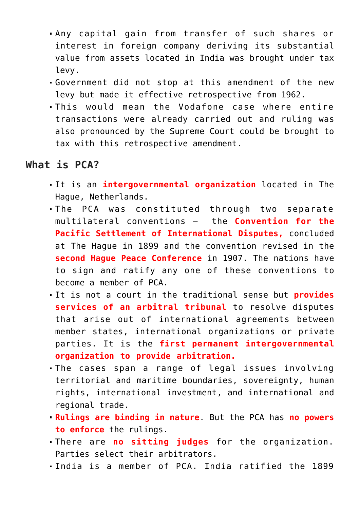- Any capital gain from transfer of such shares or interest in foreign company deriving its substantial value from assets located in India was brought under tax levy.
- Government did not stop at this amendment of the new levy but made it effective retrospective from 1962.
- This would mean the Vodafone case where entire transactions were already carried out and ruling was also pronounced by the Supreme Court could be brought to tax with this retrospective amendment.

### **What is PCA?**

- It is an **intergovernmental organization** located in The Hague, Netherlands.
- The PCA was constituted through two separate multilateral conventions — the **Convention for the Pacific Settlement of International Disputes,** concluded at The Hague in 1899 and the convention revised in the **second Hague Peace Conference** in 1907. The nations have to sign and ratify any one of these conventions to become a member of PCA.
- It is not a court in the traditional sense but **provides services of an arbitral tribunal** to resolve disputes that arise out of international agreements between member states, international organizations or private parties. It is the **first permanent intergovernmental organization to provide arbitration.**
- The cases span a range of legal issues involving territorial and maritime boundaries, sovereignty, human rights, international investment, and international and regional trade.
- **Rulings are binding in nature**. But the PCA has **no powers to enforce** the rulings.
- There are **no sitting judges** for the organization. Parties select their arbitrators.
- India is a member of PCA. India ratified the 1899